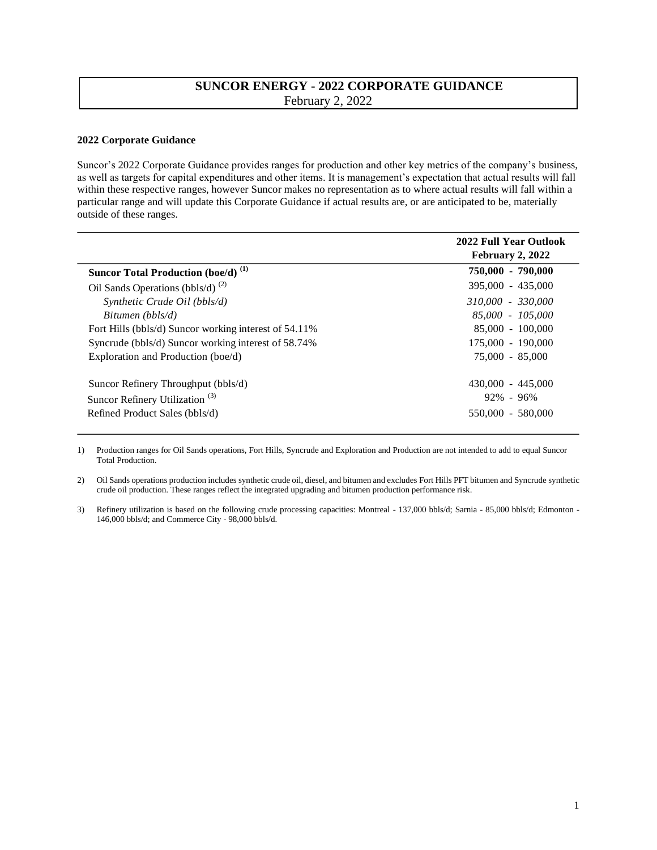## **SUNCOR ENERGY - 2022 CORPORATE GUIDANCE**  February 2, 2022

## **2022 Corporate Guidance**

Suncor's 2022 Corporate Guidance provides ranges for production and other key metrics of the company's business, as well as targets for capital expenditures and other items. It is management's expectation that actual results will fall within these respective ranges, however Suncor makes no representation as to where actual results will fall within a particular range and will update this Corporate Guidance if actual results are, or are anticipated to be, materially outside of these ranges.

|                                                       | 2022 Full Year Outlook<br>February 2, 2022 |
|-------------------------------------------------------|--------------------------------------------|
| <b>Suncor Total Production (boe/d)</b> <sup>(1)</sup> | 750,000 - 790,000                          |
| Oil Sands Operations (bbls/d) $^{(2)}$                | $395,000 - 435,000$                        |
| Synthetic Crude Oil (bbls/d)                          | 310,000 - 330,000                          |
| Bitumen (bbls/d)                                      | 85,000 - 105,000                           |
| Fort Hills (bbls/d) Suncor working interest of 54.11% | 85,000 - 100,000                           |
| Syncrude (bbls/d) Suncor working interest of 58.74%   | 175,000 - 190,000                          |
| Exploration and Production (boe/d)                    | 75,000 - 85,000                            |
| Suncor Refinery Throughput (bbls/d)                   | $430,000 - 445,000$                        |
| Suncor Refinery Utilization <sup>(3)</sup>            | $92\% - 96\%$                              |
| Refined Product Sales (bbls/d)                        | 550,000 - 580,000                          |
|                                                       |                                            |

1) Production ranges for Oil Sands operations, Fort Hills, Syncrude and Exploration and Production are not intended to add to equal Suncor Total Production.

2) Oil Sands operations production includes synthetic crude oil, diesel, and bitumen and excludes Fort Hills PFT bitumen and Syncrude synthetic crude oil production. These ranges reflect the integrated upgrading and bitumen production performance risk.

3) Refinery utilization is based on the following crude processing capacities: Montreal - 137,000 bbls/d; Sarnia - 85,000 bbls/d; Edmonton - 146,000 bbls/d; and Commerce City - 98,000 bbls/d.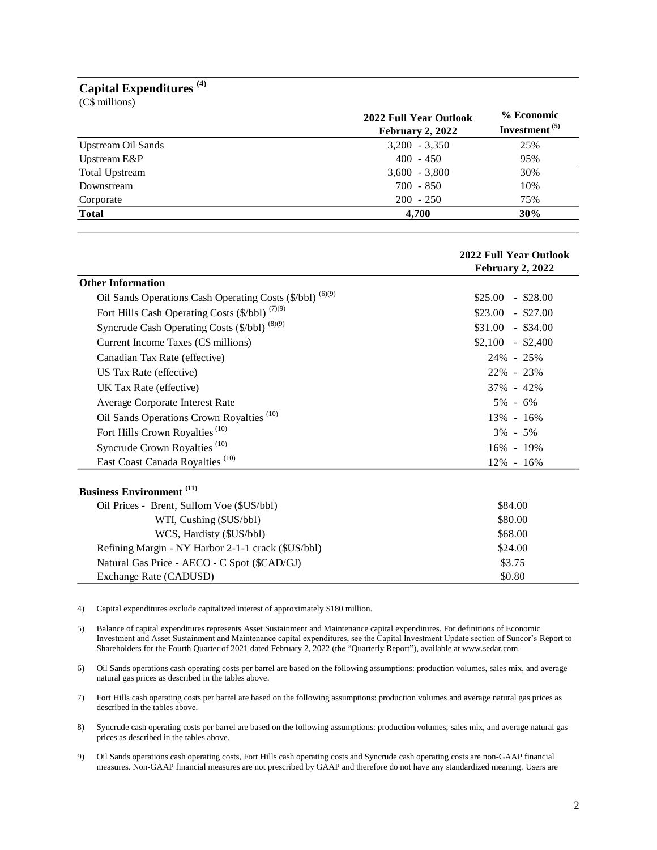## **Capital Expenditures (4)**

(C\$ millions)

|                       | 2022 Full Year Outlook<br>February 2, 2022 | % Economic<br>Investment <sup>(5)</sup> |
|-----------------------|--------------------------------------------|-----------------------------------------|
| Upstream Oil Sands    | $3,200 - 3,350$                            | 25%                                     |
| Upstream E&P          | $400 - 450$                                | 95%                                     |
| <b>Total Upstream</b> | $3,600 - 3,800$                            | 30%                                     |
| Downstream            | $700 - 850$                                | 10%                                     |
| Corporate             | $200 - 250$                                | 75%                                     |
| <b>Total</b>          | 4.700                                      | 30%                                     |

|                                                           | 2022 Full Year Outlook |
|-----------------------------------------------------------|------------------------|
|                                                           | February 2, 2022       |
| <b>Other Information</b>                                  |                        |
| Oil Sands Operations Cash Operating Costs (\$/bbl) (6)(9) | $$25.00 - $28.00$      |
| Fort Hills Cash Operating Costs (\$/bbl) (7)(9)           | $$23.00 - $27.00$      |
| Syncrude Cash Operating Costs (\$/bbl) (8)(9)             | $$31.00 - $34.00$      |
| Current Income Taxes (C\$ millions)                       | $$2,100 - $2,400$      |
| Canadian Tax Rate (effective)                             | 24% - 25%              |
| US Tax Rate (effective)                                   | 22% - 23%              |
| UK Tax Rate (effective)                                   | 37% - 42%              |
| Average Corporate Interest Rate                           | $5\% - 6\%$            |
| Oil Sands Operations Crown Royalties <sup>(10)</sup>      | 13% - 16%              |
| Fort Hills Crown Royalties <sup>(10)</sup>                | $3\% - 5\%$            |
| Syncrude Crown Royalties <sup>(10)</sup>                  | 16% - 19%              |
| East Coast Canada Royalties <sup>(10)</sup>               | $12\% - 16\%$          |
|                                                           |                        |
| <b>Business Environment</b> <sup>(11)</sup>               |                        |
| Oil Prices - Brent, Sullom Voe (\$US/bbl)                 | \$84.00                |
| WTI, Cushing (\$US/bbl)                                   | \$80.00                |

| $\cdots$ $\cdots$ $\cdots$ $\cdots$ $\cdots$       | -----   |
|----------------------------------------------------|---------|
| WCS, Hardisty (\$US/bbl)                           | \$68.00 |
| Refining Margin - NY Harbor 2-1-1 crack (\$US/bbl) | \$24.00 |
| Natural Gas Price - AECO - C Spot (\$CAD/GJ)       | \$3.75  |
| Exchange Rate (CADUSD)                             | \$0.80  |

4) Capital expenditures exclude capitalized interest of approximately \$180 million.

6) Oil Sands operations cash operating costs per barrel are based on the following assumptions: production volumes, sales mix, and average natural gas prices as described in the tables above.

7) Fort Hills cash operating costs per barrel are based on the following assumptions: production volumes and average natural gas prices as described in the tables above.

8) Syncrude cash operating costs per barrel are based on the following assumptions: production volumes, sales mix, and average natural gas prices as described in the tables above.

9) Oil Sands operations cash operating costs, Fort Hills cash operating costs and Syncrude cash operating costs are non-GAAP financial measures. Non-GAAP financial measures are not prescribed by GAAP and therefore do not have any standardized meaning. Users are

<sup>5)</sup> Balance of capital expenditures represents Asset Sustainment and Maintenance capital expenditures. For definitions of Economic Investment and Asset Sustainment and Maintenance capital expenditures, see the Capital Investment Update section of Suncor's Report to Shareholders for the Fourth Quarter of 2021 dated February 2, 2022 (the "Quarterly Report"), available at www.sedar.com.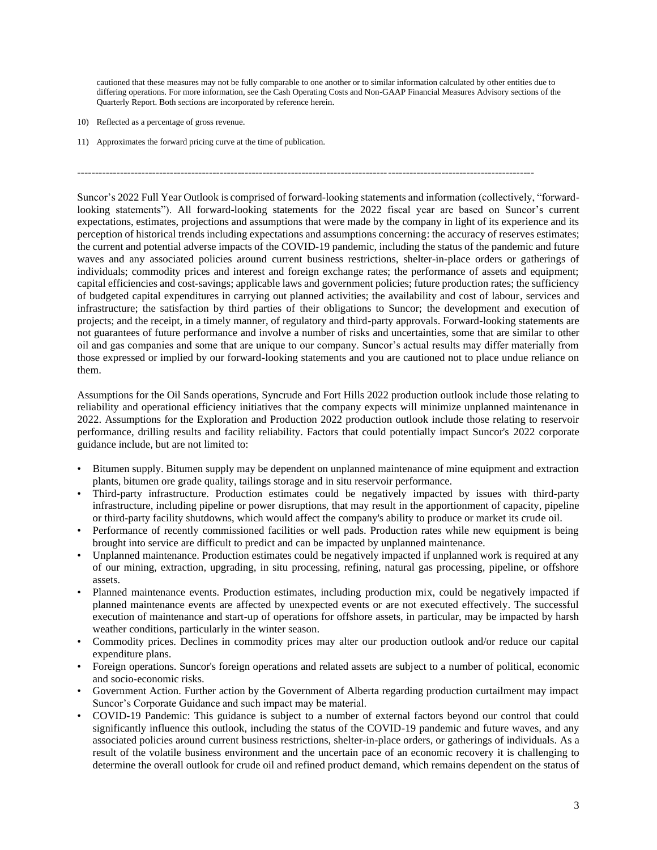cautioned that these measures may not be fully comparable to one another or to similar information calculated by other entities due to differing operations. For more information, see the Cash Operating Costs and Non-GAAP Financial Measures Advisory sections of the Quarterly Report. Both sections are incorporated by reference herein.

--------------------------------------------------------------------------------------------------------------------------------

- 10) Reflected as a percentage of gross revenue.
- 11) Approximates the forward pricing curve at the time of publication.

Suncor's 2022 Full Year Outlook is comprised of forward-looking statements and information (collectively, "forwardlooking statements"). All forward-looking statements for the 2022 fiscal year are based on Suncor's current expectations, estimates, projections and assumptions that were made by the company in light of its experience and its perception of historical trends including expectations and assumptions concerning: the accuracy of reserves estimates; the current and potential adverse impacts of the COVID-19 pandemic, including the status of the pandemic and future waves and any associated policies around current business restrictions, shelter-in-place orders or gatherings of individuals; commodity prices and interest and foreign exchange rates; the performance of assets and equipment; capital efficiencies and cost-savings; applicable laws and government policies; future production rates; the sufficiency of budgeted capital expenditures in carrying out planned activities; the availability and cost of labour, services and infrastructure; the satisfaction by third parties of their obligations to Suncor; the development and execution of projects; and the receipt, in a timely manner, of regulatory and third-party approvals. Forward-looking statements are not guarantees of future performance and involve a number of risks and uncertainties, some that are similar to other oil and gas companies and some that are unique to our company. Suncor's actual results may differ materially from those expressed or implied by our forward-looking statements and you are cautioned not to place undue reliance on them.

Assumptions for the Oil Sands operations, Syncrude and Fort Hills 2022 production outlook include those relating to reliability and operational efficiency initiatives that the company expects will minimize unplanned maintenance in 2022. Assumptions for the Exploration and Production 2022 production outlook include those relating to reservoir performance, drilling results and facility reliability. Factors that could potentially impact Suncor's 2022 corporate guidance include, but are not limited to:

- Bitumen supply. Bitumen supply may be dependent on unplanned maintenance of mine equipment and extraction plants, bitumen ore grade quality, tailings storage and in situ reservoir performance.
- Third-party infrastructure. Production estimates could be negatively impacted by issues with third-party infrastructure, including pipeline or power disruptions, that may result in the apportionment of capacity, pipeline or third-party facility shutdowns, which would affect the company's ability to produce or market its crude oil.
- Performance of recently commissioned facilities or well pads. Production rates while new equipment is being brought into service are difficult to predict and can be impacted by unplanned maintenance.
- Unplanned maintenance. Production estimates could be negatively impacted if unplanned work is required at any of our mining, extraction, upgrading, in situ processing, refining, natural gas processing, pipeline, or offshore assets.
- Planned maintenance events. Production estimates, including production mix, could be negatively impacted if planned maintenance events are affected by unexpected events or are not executed effectively. The successful execution of maintenance and start-up of operations for offshore assets, in particular, may be impacted by harsh weather conditions, particularly in the winter season.
- Commodity prices. Declines in commodity prices may alter our production outlook and/or reduce our capital expenditure plans.
- Foreign operations. Suncor's foreign operations and related assets are subject to a number of political, economic and socio-economic risks.
- Government Action. Further action by the Government of Alberta regarding production curtailment may impact Suncor's Corporate Guidance and such impact may be material.
- COVID-19 Pandemic: This guidance is subject to a number of external factors beyond our control that could significantly influence this outlook, including the status of the COVID-19 pandemic and future waves, and any associated policies around current business restrictions, shelter-in-place orders, or gatherings of individuals. As a result of the volatile business environment and the uncertain pace of an economic recovery it is challenging to determine the overall outlook for crude oil and refined product demand, which remains dependent on the status of